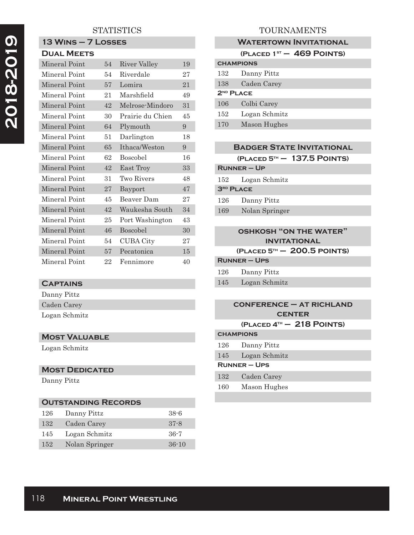# 2018-2019  **2018-2019**

### **STATISTICS**

#### **13 Wins – 7 Losses Dual Meets**

| DUAL MEE IS   |    |                  |    |
|---------------|----|------------------|----|
| Mineral Point | 54 | River Valley     | 19 |
| Mineral Point | 54 | Riverdale        | 27 |
| Mineral Point | 57 | Lomira           | 21 |
| Mineral Point | 21 | Marshfield       | 49 |
| Mineral Point | 42 | Melrose-Mindoro  | 31 |
| Mineral Point | 30 | Prairie du Chien | 45 |
| Mineral Point | 64 | Plymouth         | 9  |
| Mineral Point | 51 | Darlington       | 18 |
| Mineral Point | 65 | Ithaca/Weston    | 9  |
| Mineral Point | 62 | <b>Boscobel</b>  | 16 |
| Mineral Point | 42 | East Troy        | 33 |
| Mineral Point | 31 | Two Rivers       | 48 |
| Mineral Point | 27 | Bayport          | 47 |
| Mineral Point | 45 | Beaver Dam       | 27 |
| Mineral Point | 42 | Waukesha South   | 34 |
| Mineral Point | 25 | Port Washington  | 43 |
| Mineral Point | 46 | <b>Boscobel</b>  | 30 |
| Mineral Point | 54 | <b>CUBA City</b> | 27 |
| Mineral Point | 57 | Pecatonica       | 15 |
| Mineral Point | 22 | Fennimore        | 40 |

#### **Captains**

Danny Pittz Caden Carey Logan Schmitz

#### **Most Valuable**

Logan Schmitz

#### **Most Dedicated**

Danny Pittz

| <b>OUTSTANDING RECORDS</b> |                |          |
|----------------------------|----------------|----------|
| 126                        | Danny Pittz    | $38 - 6$ |
| 132                        | Caden Carey    | $37 - 8$ |
| 145                        | Logan Schmitz  | $36-7$   |
| 152                        | Nolan Springer | $36-10$  |

# TOURNAMENTS

### **Watertown Invitational**

|                       | (PLACED $1ST - 469$ POINTS) |  |
|-----------------------|-----------------------------|--|
| <b>CHAMPIONS</b>      |                             |  |
| 132                   | Danny Pittz                 |  |
| 138                   | Caden Carey                 |  |
| 2 <sup>ND</sup> PLACE |                             |  |
| 106                   | Colbi Carey                 |  |
| 152                   | Logan Schmitz               |  |
| 170                   | Mason Hughes                |  |
|                       |                             |  |

|         |                    | <b>BADGER STATE INVITATIONAL</b> |  |
|---------|--------------------|----------------------------------|--|
|         |                    | $(PLACED 5TH - 137.5 POINTS)$    |  |
|         | <b>RUNNER – UP</b> |                                  |  |
| $152\,$ | Logan Schmitz      |                                  |  |
|         | $3RD$ PLACE        |                                  |  |
| 126     | Danny Pittz        |                                  |  |
| 169     | Nolan Springer     |                                  |  |
|         |                    |                                  |  |

#### **oshkosh "on the water" invitational**

#### **(Placed 5th – 200.5 points)**

| <b>RUNNER – UPS</b> |             |  |
|---------------------|-------------|--|
| 126                 | Danny Pittz |  |

145 Logan Schmitz

#### **conference – at richland center (Placed 4th – 218 Points)**

#### **champions**

- 126 Danny Pittz
- 145 Logan Schmitz

# **Runner – Ups**

- 132 Caden Carey
- 160 Mason Hughes